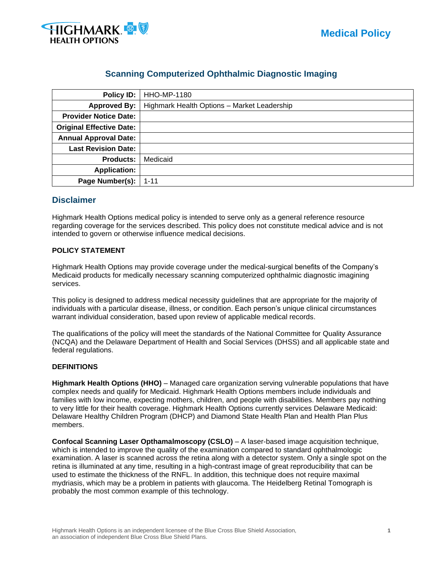

## **Scanning Computerized Ophthalmic Diagnostic Imaging**

| <b>Policy ID:</b>               | <b>HHO-MP-1180</b>                          |
|---------------------------------|---------------------------------------------|
| <b>Approved By:</b>             | Highmark Health Options - Market Leadership |
| <b>Provider Notice Date:</b>    |                                             |
| <b>Original Effective Date:</b> |                                             |
| <b>Annual Approval Date:</b>    |                                             |
| <b>Last Revision Date:</b>      |                                             |
| <b>Products:</b>                | Medicaid                                    |
| <b>Application:</b>             |                                             |
| Page Number(s):                 | $1 - 11$                                    |

## **Disclaimer**

Highmark Health Options medical policy is intended to serve only as a general reference resource regarding coverage for the services described. This policy does not constitute medical advice and is not intended to govern or otherwise influence medical decisions.

#### **POLICY STATEMENT**

Highmark Health Options may provide coverage under the medical-surgical benefits of the Company's Medicaid products for medically necessary scanning computerized ophthalmic diagnostic imagining services.

This policy is designed to address medical necessity guidelines that are appropriate for the majority of individuals with a particular disease, illness, or condition. Each person's unique clinical circumstances warrant individual consideration, based upon review of applicable medical records.

The qualifications of the policy will meet the standards of the National Committee for Quality Assurance (NCQA) and the Delaware Department of Health and Social Services (DHSS) and all applicable state and federal regulations.

#### **DEFINITIONS**

**Highmark Health Options (HHO)** – Managed care organization serving vulnerable populations that have complex needs and qualify for Medicaid. Highmark Health Options members include individuals and families with low income, expecting mothers, children, and people with disabilities. Members pay nothing to very little for their health coverage. Highmark Health Options currently services Delaware Medicaid: Delaware Healthy Children Program (DHCP) and Diamond State Health Plan and Health Plan Plus members.

**Confocal Scanning Laser Opthamalmoscopy (CSLO)** – A laser-based image acquisition technique, which is intended to improve the quality of the examination compared to standard ophthalmologic examination. A laser is scanned across the retina along with a detector system. Only a single spot on the retina is illuminated at any time, resulting in a high-contrast image of great reproducibility that can be used to estimate the thickness of the RNFL. In addition, this technique does not require maximal mydriasis, which may be a problem in patients with glaucoma. The Heidelberg Retinal Tomograph is probably the most common example of this technology.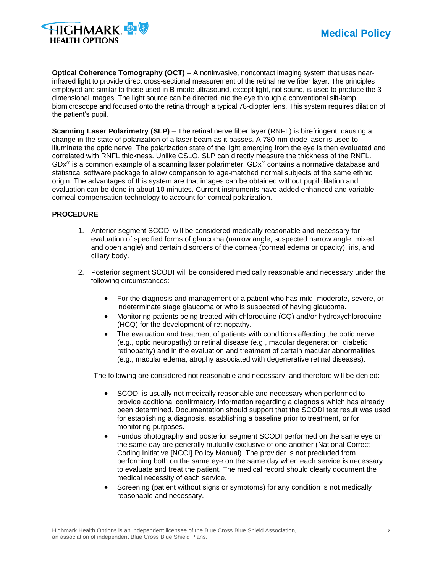

**Optical Coherence Tomography (OCT)** – A noninvasive, noncontact imaging system that uses nearinfrared light to provide direct cross-sectional measurement of the retinal nerve fiber layer. The principles employed are similar to those used in B-mode ultrasound, except light, not sound, is used to produce the 3 dimensional images. The light source can be directed into the eye through a conventional slit-lamp biomicroscope and focused onto the retina through a typical 78-diopter lens. This system requires dilation of the patient's pupil.

**Scanning Laser Polarimetry (SLP)** – The retinal nerve fiber layer (RNFL) is birefringent, causing a change in the state of polarization of a laser beam as it passes. A 780-nm diode laser is used to illuminate the optic nerve. The polarization state of the light emerging from the eye is then evaluated and correlated with RNFL thickness. Unlike CSLO, SLP can directly measure the thickness of the RNFL. GDx® is a common example of a scanning laser polarimeter. GDx® contains a normative database and statistical software package to allow comparison to age-matched normal subjects of the same ethnic origin. The advantages of this system are that images can be obtained without pupil dilation and evaluation can be done in about 10 minutes. Current instruments have added enhanced and variable corneal compensation technology to account for corneal polarization.

#### **PROCEDURE**

- 1. Anterior segment SCODI will be considered medically reasonable and necessary for evaluation of specified forms of glaucoma (narrow angle, suspected narrow angle, mixed and open angle) and certain disorders of the cornea (corneal edema or opacity), iris, and ciliary body.
- 2. Posterior segment SCODI will be considered medically reasonable and necessary under the following circumstances:
	- For the diagnosis and management of a patient who has mild, moderate, severe, or indeterminate stage glaucoma or who is suspected of having glaucoma.
	- Monitoring patients being treated with chloroquine (CQ) and/or hydroxychloroquine (HCQ) for the development of retinopathy.
	- The evaluation and treatment of patients with conditions affecting the optic nerve (e.g., optic neuropathy) or retinal disease (e.g., macular degeneration, diabetic retinopathy) and in the evaluation and treatment of certain macular abnormalities (e.g., macular edema, atrophy associated with degenerative retinal diseases).

The following are considered not reasonable and necessary, and therefore will be denied:

- SCODI is usually not medically reasonable and necessary when performed to provide additional confirmatory information regarding a diagnosis which has already been determined. Documentation should support that the SCODI test result was used for establishing a diagnosis, establishing a baseline prior to treatment, or for monitoring purposes.
- Fundus photography and posterior segment SCODI performed on the same eye on the same day are generally mutually exclusive of one another (National Correct Coding Initiative [NCCI] Policy Manual). The provider is not precluded from performing both on the same eye on the same day when each service is necessary to evaluate and treat the patient. The medical record should clearly document the medical necessity of each service.
- Screening (patient without signs or symptoms) for any condition is not medically reasonable and necessary.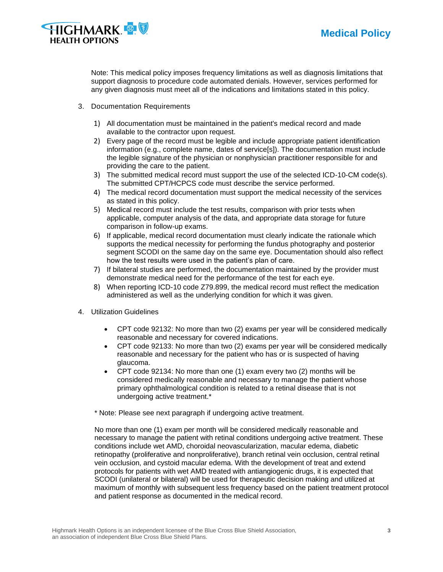

Note: This medical policy imposes frequency limitations as well as diagnosis limitations that support diagnosis to procedure code automated denials. However, services performed for any given diagnosis must meet all of the indications and limitations stated in this policy.

- 3. Documentation Requirements
	- 1) All documentation must be maintained in the patient's medical record and made available to the contractor upon request.
	- 2) Every page of the record must be legible and include appropriate patient identification information (e.g., complete name, dates of service[s]). The documentation must include the legible signature of the physician or nonphysician practitioner responsible for and providing the care to the patient.
	- 3) The submitted medical record must support the use of the selected ICD-10-CM code(s). The submitted CPT/HCPCS code must describe the service performed.
	- 4) The medical record documentation must support the medical necessity of the services as stated in this policy.
	- 5) Medical record must include the test results, comparison with prior tests when applicable, computer analysis of the data, and appropriate data storage for future comparison in follow-up exams.
	- 6) If applicable, medical record documentation must clearly indicate the rationale which supports the medical necessity for performing the fundus photography and posterior segment SCODI on the same day on the same eye. Documentation should also reflect how the test results were used in the patient's plan of care.
	- 7) If bilateral studies are performed, the documentation maintained by the provider must demonstrate medical need for the performance of the test for each eye.
	- 8) When reporting ICD-10 code Z79.899, the medical record must reflect the medication administered as well as the underlying condition for which it was given.
- 4. Utilization Guidelines
	- CPT code 92132: No more than two (2) exams per year will be considered medically reasonable and necessary for covered indications.
	- CPT code 92133: No more than two (2) exams per year will be considered medically reasonable and necessary for the patient who has or is suspected of having glaucoma.
	- CPT code 92134: No more than one (1) exam every two (2) months will be considered medically reasonable and necessary to manage the patient whose primary ophthalmological condition is related to a retinal disease that is not undergoing active treatment.\*

\* Note: Please see next paragraph if undergoing active treatment.

No more than one (1) exam per month will be considered medically reasonable and necessary to manage the patient with retinal conditions undergoing active treatment. These conditions include wet AMD, choroidal neovascularization, macular edema, diabetic retinopathy (proliferative and nonproliferative), branch retinal vein occlusion, central retinal vein occlusion, and cystoid macular edema. With the development of treat and extend protocols for patients with wet AMD treated with antiangiogenic drugs, it is expected that SCODI (unilateral or bilateral) will be used for therapeutic decision making and utilized at maximum of monthly with subsequent less frequency based on the patient treatment protocol and patient response as documented in the medical record.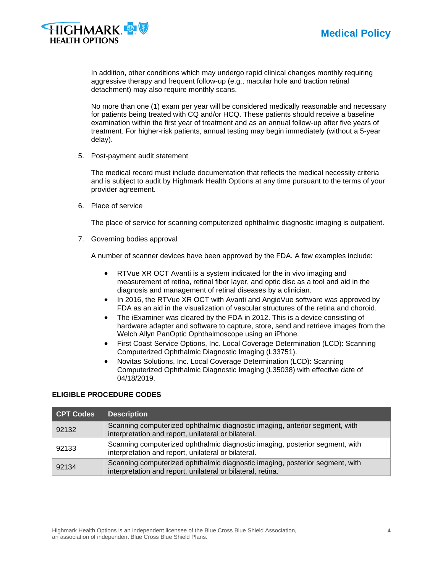



In addition, other conditions which may undergo rapid clinical changes monthly requiring aggressive therapy and frequent follow-up (e.g., macular hole and traction retinal detachment) may also require monthly scans.

No more than one (1) exam per year will be considered medically reasonable and necessary for patients being treated with CQ and/or HCQ. These patients should receive a baseline examination within the first year of treatment and as an annual follow-up after five years of treatment. For higher-risk patients, annual testing may begin immediately (without a 5-year delay).

5. Post-payment audit statement

The medical record must include documentation that reflects the medical necessity criteria and is subject to audit by Highmark Health Options at any time pursuant to the terms of your provider agreement.

6. Place of service

The place of service for scanning computerized ophthalmic diagnostic imaging is outpatient.

7. Governing bodies approval

A number of scanner devices have been approved by the FDA. A few examples include:

- RTVue XR OCT Avanti is a system indicated for the in vivo imaging and measurement of retina, retinal fiber layer, and optic disc as a tool and aid in the diagnosis and management of retinal diseases by a clinician.
- In 2016, the RTVue XR OCT with Avanti and AngioVue software was approved by FDA as an aid in the visualization of vascular structures of the retina and choroid.
- The iExaminer was cleared by the FDA in 2012. This is a device consisting of hardware adapter and software to capture, store, send and retrieve images from the Welch Allyn PanOptic Ophthalmoscope using an iPhone.
- First Coast Service Options, Inc. Local Coverage Determination (LCD): Scanning Computerized Ophthalmic Diagnostic Imaging (L33751).
- Novitas Solutions, Inc. Local Coverage Determination (LCD): Scanning Computerized Ophthalmic Diagnostic Imaging (L35038) with effective date of 04/18/2019.

#### **ELIGIBLE PROCEDURE CODES**

| CPT Codes | <b>Description</b>                                                                                                                          |
|-----------|---------------------------------------------------------------------------------------------------------------------------------------------|
| 92132     | Scanning computerized ophthalmic diagnostic imaging, anterior segment, with<br>interpretation and report, unilateral or bilateral.          |
| 92133     | Scanning computerized ophthalmic diagnostic imaging, posterior segment, with<br>interpretation and report, unilateral or bilateral.         |
| 92134     | Scanning computerized ophthalmic diagnostic imaging, posterior segment, with<br>interpretation and report, unilateral or bilateral, retina. |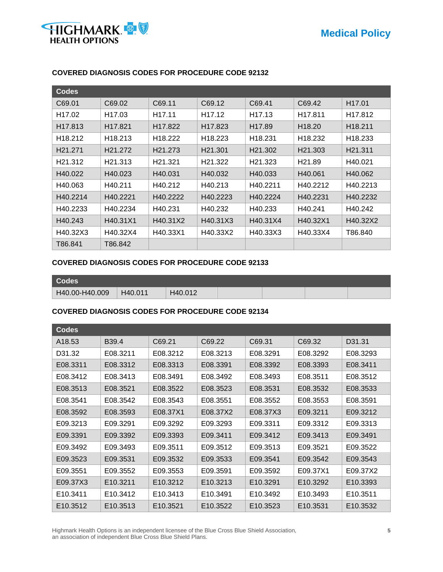

| <b>Codes</b>        |                      |                     |                     |                     |                     |                     |
|---------------------|----------------------|---------------------|---------------------|---------------------|---------------------|---------------------|
| C69.01              | C69.02               | C69.11              | C69.12              | C69.41              | C69.42              | H <sub>17.01</sub>  |
| H <sub>17.02</sub>  | H17.03               | H <sub>17.11</sub>  | H <sub>17.12</sub>  | H <sub>17.13</sub>  | H <sub>17.811</sub> | H17.812             |
| H <sub>17.813</sub> | H <sub>17.821</sub>  | H <sub>17.822</sub> | H <sub>17.823</sub> | H <sub>17.89</sub>  | H <sub>18.20</sub>  | H <sub>18.211</sub> |
| H <sub>18.212</sub> | H <sub>18</sub> .213 | H <sub>18.222</sub> | H18.223             | H <sub>18.231</sub> | H <sub>18.232</sub> | H <sub>18.233</sub> |
| H <sub>21.271</sub> | H <sub>21.272</sub>  | H <sub>21.273</sub> | H <sub>21.301</sub> | H <sub>21.302</sub> | H <sub>21.303</sub> | H <sub>21.311</sub> |
| H <sub>21.312</sub> | H <sub>21.313</sub>  | H <sub>21.321</sub> | H <sub>21.322</sub> | H <sub>21.323</sub> | H <sub>21.89</sub>  | H40.021             |
| H40.022             | H40.023              | H40.031             | H40.032             | H40.033             | H40.061             | H40.062             |
| H40.063             | H40.211              | H40.212             | H40.213             | H40.2211            | H40.2212            | H40.2213            |
| H40.2214            | H40.2221             | H40.2222            | H40.2223            | H40.2224            | H40.2231            | H40.2232            |
| H40.2233            | H40.2234             | H40.231             | H40.232             | H40.233             | H40.241             | H40.242             |
| H40.243             | H40.31X1             | H40.31X2            | H40.31X3            | H40.31X4            | H40.32X1            | H40.32X2            |
| H40.32X3            | H40.32X4             | H40.33X1            | H40.33X2            | H40.33X3            | H40.33X4            | T86.840             |
| T86.841             | T86.842              |                     |                     |                     |                     |                     |

## **COVERED DIAGNOSIS CODES FOR PROCEDURE CODE 92132**

## **COVERED DIAGNOSIS CODES FOR PROCEDURE CODE 92133**

| <b>Codes</b>   |         |         |  |  |
|----------------|---------|---------|--|--|
| H40.00-H40.009 | H40.011 | H40.012 |  |  |

## **COVERED DIAGNOSIS CODES FOR PROCEDURE CODE 92134**

| <b>Codes</b>         |                      |                      |                      |                      |                      |                      |
|----------------------|----------------------|----------------------|----------------------|----------------------|----------------------|----------------------|
| A <sub>18.53</sub>   | B39.4                | C69.21               | C69.22               | C69.31               | C69.32               | D31.31               |
| D31.32               | E08.3211             | E08.3212             | E08.3213             | E08.3291             | E08.3292             | E08.3293             |
| E08.3311             | E08.3312             | E08.3313             | E08.3391             | E08.3392             | E08.3393             | E08.3411             |
| E08.3412             | E08.3413             | E08.3491             | E08.3492             | E08.3493             | E08.3511             | E08.3512             |
| E08.3513             | E08.3521             | E08.3522             | E08.3523             | E08.3531             | E08.3532             | E08.3533             |
| E08.3541             | E08.3542             | E08.3543             | E08.3551             | E08.3552             | E08.3553             | E08.3591             |
| E08.3592             | E08.3593             | E08.37X1             | E08.37X2             | E08.37X3             | E09.3211             | E09.3212             |
| E09.3213             | E09.3291             | E09.3292             | E09.3293             | E09.3311             | E09.3312             | E09.3313             |
| E09.3391             | E09.3392             | E09.3393             | E09.3411             | E09.3412             | E09.3413             | E09.3491             |
| E09.3492             | E09.3493             | E09.3511             | E09.3512             | E09.3513             | E09.3521             | E09.3522             |
| E09.3523             | E09.3531             | E09.3532             | E09.3533             | E09.3541             | E09.3542             | E09.3543             |
| E09.3551             | E09.3552             | E09.3553             | E09.3591             | E09.3592             | E09.37X1             | E09.37X2             |
| E09.37X3             | E10.3211             | E10.3212             | E10.3213             | E10.3291             | E10.3292             | E10.3393             |
| E <sub>10.3411</sub> | E <sub>10.3412</sub> | E <sub>10.3413</sub> | E10.3491             | E10.3492             | E <sub>10.3493</sub> | E <sub>10.3511</sub> |
| E <sub>10.3512</sub> | E <sub>10.3513</sub> | E <sub>10.3521</sub> | E <sub>10.3522</sub> | E <sub>10.3523</sub> | E <sub>10.3531</sub> | E <sub>10.3532</sub> |

Highmark Health Options is an independent licensee of the Blue Cross Blue Shield Association, **5** an association of independent Blue Cross Blue Shield Plans.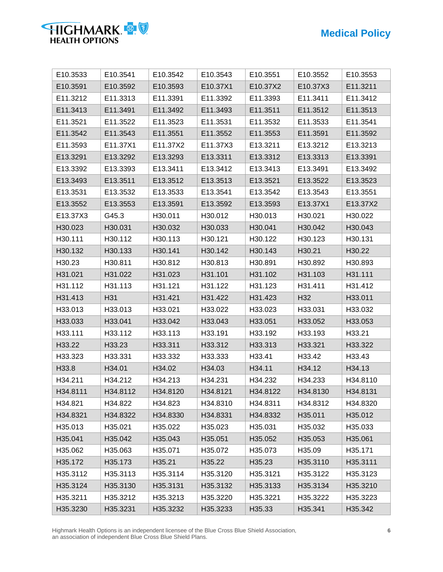# **Medical Policy**



| E10.3533 | E10.3541 | E10.3542 | E10.3543 | E10.3551 | E10.3552        | E10.3553 |
|----------|----------|----------|----------|----------|-----------------|----------|
| E10.3591 | E10.3592 | E10.3593 | E10.37X1 | E10.37X2 | E10.37X3        | E11.3211 |
| E11.3212 | E11.3313 | E11.3391 | E11.3392 | E11.3393 | E11.3411        | E11.3412 |
| E11.3413 | E11.3491 | E11.3492 | E11.3493 | E11.3511 | E11.3512        | E11.3513 |
| E11.3521 | E11.3522 | E11.3523 | E11.3531 | E11.3532 | E11.3533        | E11.3541 |
| E11.3542 | E11.3543 | E11.3551 | E11.3552 | E11.3553 | E11.3591        | E11.3592 |
| E11.3593 | E11.37X1 | E11.37X2 | E11.37X3 | E13.3211 | E13.3212        | E13.3213 |
| E13.3291 | E13.3292 | E13.3293 | E13.3311 | E13.3312 | E13.3313        | E13.3391 |
| E13.3392 | E13.3393 | E13.3411 | E13.3412 | E13.3413 | E13.3491        | E13.3492 |
| E13.3493 | E13.3511 | E13.3512 | E13.3513 | E13.3521 | E13.3522        | E13.3523 |
| E13.3531 | E13.3532 | E13.3533 | E13.3541 | E13.3542 | E13.3543        | E13.3551 |
| E13.3552 | E13.3553 | E13.3591 | E13.3592 | E13.3593 | E13.37X1        | E13.37X2 |
| E13.37X3 | G45.3    | H30.011  | H30.012  | H30.013  | H30.021         | H30.022  |
| H30.023  | H30.031  | H30.032  | H30.033  | H30.041  | H30.042         | H30.043  |
| H30.111  | H30.112  | H30.113  | H30.121  | H30.122  | H30.123         | H30.131  |
| H30.132  | H30.133  | H30.141  | H30.142  | H30.143  | H30.21          | H30.22   |
| H30.23   | H30.811  | H30.812  | H30.813  | H30.891  | H30.892         | H30.893  |
| H31.021  | H31.022  | H31.023  | H31.101  | H31.102  | H31.103         | H31.111  |
| H31.112  | H31.113  | H31.121  | H31.122  | H31.123  | H31.411         | H31.412  |
| H31.413  | H31      | H31.421  | H31.422  | H31.423  | H <sub>32</sub> | H33.011  |
| H33.013  | H33.013  | H33.021  | H33.022  | H33.023  | H33.031         | H33.032  |
| H33.033  | H33.041  | H33.042  | H33.043  | H33.051  | H33.052         | H33.053  |
| H33.111  | H33.112  | H33.113  | H33.191  | H33.192  | H33.193         | H33.21   |
| H33.22   | H33.23   | H33.311  | H33.312  | H33.313  | H33.321         | H33.322  |
| H33.323  | H33.331  | H33.332  | H33.333  | H33.41   | H33.42          | H33.43   |
| H33.8    | H34.01   | H34.02   | H34.03   | H34.11   | H34.12          | H34.13   |
| H34.211  | H34.212  | H34.213  | H34.231  | H34.232  | H34.233         | H34.8110 |
| H34.8111 | H34.8112 | H34.8120 | H34.8121 | H34.8122 | H34.8130        | H34.8131 |
| H34.821  | H34.822  | H34.823  | H34.8310 | H34.8311 | H34.8312        | H34.8320 |
| H34.8321 | H34.8322 | H34.8330 | H34.8331 | H34.8332 | H35.011         | H35.012  |
| H35.013  | H35.021  | H35.022  | H35.023  | H35.031  | H35.032         | H35.033  |
| H35.041  | H35.042  | H35.043  | H35.051  | H35.052  | H35.053         | H35.061  |
| H35.062  | H35.063  | H35.071  | H35.072  | H35.073  | H35.09          | H35.171  |
| H35.172  | H35.173  | H35.21   | H35.22   | H35.23   | H35.3110        | H35.3111 |
| H35.3112 | H35.3113 | H35.3114 | H35.3120 | H35.3121 | H35.3122        | H35.3123 |
| H35.3124 | H35.3130 | H35.3131 | H35.3132 | H35.3133 | H35.3134        | H35.3210 |
| H35.3211 | H35.3212 | H35.3213 | H35.3220 | H35.3221 | H35.3222        | H35.3223 |
| H35.3230 | H35.3231 | H35.3232 | H35.3233 | H35.33   | H35.341         | H35.342  |

Highmark Health Options is an independent licensee of the Blue Cross Blue Shield Association, **6** an association of independent Blue Cross Blue Shield Plans.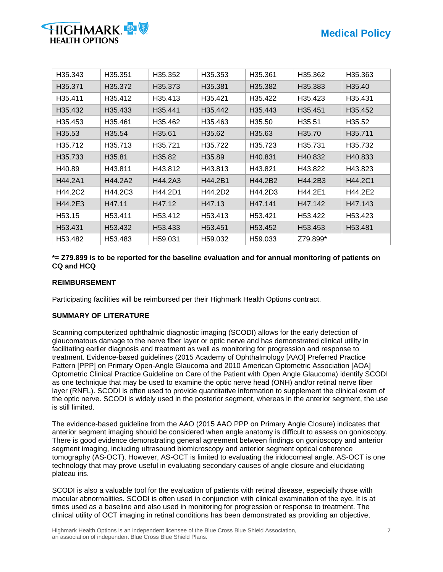

| H35.343            | H <sub>35.351</sub>  | H35.352              | H35.353              | H35.361              | H35.362             | H35.363              |
|--------------------|----------------------|----------------------|----------------------|----------------------|---------------------|----------------------|
| H35.371            | H35.372              | H35.373              | H35.381              | H35.382              | H35.383             | H <sub>35.40</sub>   |
| H35.411            | H35.412              | H35.413              | H35.421              | H35.422              | H35.423             | H35.431              |
| H35.432            | H35.433              | H35.441              | H35.442              | H35.443              | H <sub>35.451</sub> | H35.452              |
| H35.453            | H35.461              | H35.462              | H35.463              | H35.50               | H35.51              | H35.52               |
| H35.53             | H35.54               | H35.61               | H35.62               | H35.63               | H <sub>35.70</sub>  | H35.711              |
| H35.712            | H35.713              | H35.721              | H35.722              | H35.723              | H35.731             | H35.732              |
| H35.733            | H35.81               | H35.82               | H35.89               | H40.831              | H40.832             | H40.833              |
| H40.89             | H43.811              | H43.812              | H43.813              | H43.821              | H43.822             | H43.823              |
| H44.2A1            | H44.2A2              | H44.2A3              | H44.2B1              | H44.2B2              | H44.2B3             | H44.2C1              |
| H44.2C2            | H44.2C3              | H44.2D1              | H44.2D2              | H44.2D3              | H44.2E1             | H44.2E2              |
| H44.2E3            | H47.11               | H47.12               | H47.13               | H47.141              | H47.142             | H47.143              |
| H <sub>53.15</sub> | H <sub>53.411</sub>  | H <sub>53</sub> .412 | H <sub>53</sub> .413 | H53.421              | H <sub>53.422</sub> | H <sub>53</sub> .423 |
| H53.431            | H53.432              | H53.433              | H53.451              | H <sub>53</sub> .452 | H <sub>53.453</sub> | H53.481              |
| H53.482            | H <sub>53</sub> .483 | H59.031              | H59.032              | H <sub>59.033</sub>  | Z79.899*            |                      |

#### **\*= Z79.899 is to be reported for the baseline evaluation and for annual monitoring of patients on CQ and HCQ**

#### **REIMBURSEMENT**

Participating facilities will be reimbursed per their Highmark Health Options contract.

#### **SUMMARY OF LITERATURE**

Scanning computerized ophthalmic diagnostic imaging (SCODI) allows for the early detection of glaucomatous damage to the nerve fiber layer or optic nerve and has demonstrated clinical utility in facilitating earlier diagnosis and treatment as well as monitoring for progression and response to treatment. Evidence-based guidelines (2015 Academy of Ophthalmology [AAO] Preferred Practice Pattern [PPP] on Primary Open-Angle Glaucoma and 2010 American Optometric Association [AOA] Optometric Clinical Practice Guideline on Care of the Patient with Open Angle Glaucoma) identify SCODI as one technique that may be used to examine the optic nerve head (ONH) and/or retinal nerve fiber layer (RNFL). SCODI is often used to provide quantitative information to supplement the clinical exam of the optic nerve. SCODI is widely used in the posterior segment, whereas in the anterior segment, the use is still limited.

The evidence-based guideline from the AAO (2015 AAO PPP on Primary Angle Closure) indicates that anterior segment imaging should be considered when angle anatomy is difficult to assess on gonioscopy. There is good evidence demonstrating general agreement between findings on gonioscopy and anterior segment imaging, including ultrasound biomicroscopy and anterior segment optical coherence tomography (AS-OCT). However, AS-OCT is limited to evaluating the iridocorneal angle. AS-OCT is one technology that may prove useful in evaluating secondary causes of angle closure and elucidating plateau iris.

SCODI is also a valuable tool for the evaluation of patients with retinal disease, especially those with macular abnormalities. SCODI is often used in conjunction with clinical examination of the eye. It is at times used as a baseline and also used in monitoring for progression or response to treatment. The clinical utility of OCT imaging in retinal conditions has been demonstrated as providing an objective,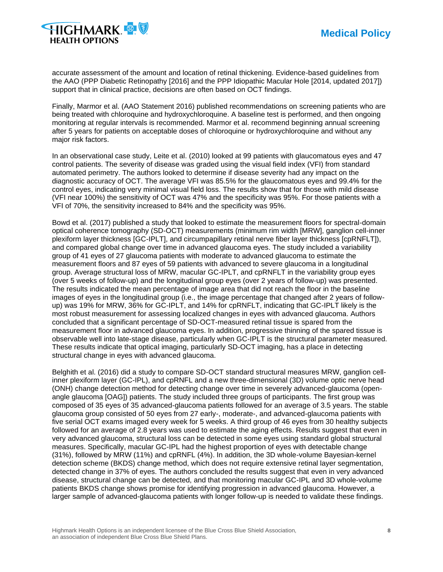

accurate assessment of the amount and location of retinal thickening. Evidence-based guidelines from the AAO (PPP Diabetic Retinopathy [2016] and the PPP Idiopathic Macular Hole [2014, updated 2017]) support that in clinical practice, decisions are often based on OCT findings.

Finally, Marmor et al. (AAO Statement 2016) published recommendations on screening patients who are being treated with chloroquine and hydroxychloroquine. A baseline test is performed, and then ongoing monitoring at regular intervals is recommended. Marmor et al. recommend beginning annual screening after 5 years for patients on acceptable doses of chloroquine or hydroxychloroquine and without any major risk factors.

In an observational case study, Leite et al. (2010) looked at 99 patients with glaucomatous eyes and 47 control patients. The severity of disease was graded using the visual field index (VFI) from standard automated perimetry. The authors looked to determine if disease severity had any impact on the diagnostic accuracy of OCT. The average VFI was 85.5% for the glaucomatous eyes and 99.4% for the control eyes, indicating very minimal visual field loss. The results show that for those with mild disease (VFI near 100%) the sensitivity of OCT was 47% and the specificity was 95%. For those patients with a VFI of 70%, the sensitivity increased to 84% and the specificity was 95%.

Bowd et al. (2017) published a study that looked to estimate the measurement floors for spectral-domain optical coherence tomography (SD-OCT) measurements (minimum rim width [MRW], ganglion cell-inner plexiform layer thickness [GC-IPLT], and circumpapillary retinal nerve fiber layer thickness [cpRNFLT]), and compared global change over time in advanced glaucoma eyes. The study included a variability group of 41 eyes of 27 glaucoma patients with moderate to advanced glaucoma to estimate the measurement floors and 87 eyes of 59 patients with advanced to severe glaucoma in a longitudinal group. Average structural loss of MRW, macular GC-IPLT, and cpRNFLT in the variability group eyes (over 5 weeks of follow-up) and the longitudinal group eyes (over 2 years of follow-up) was presented. The results indicated the mean percentage of image area that did not reach the floor in the baseline images of eyes in the longitudinal group (i.e., the image percentage that changed after 2 years of followup) was 19% for MRW, 36% for GC-IPLT, and 14% for cpRNFLT, indicating that GC-IPLT likely is the most robust measurement for assessing localized changes in eyes with advanced glaucoma. Authors concluded that a significant percentage of SD-OCT-measured retinal tissue is spared from the measurement floor in advanced glaucoma eyes. In addition, progressive thinning of the spared tissue is observable well into late-stage disease, particularly when GC-IPLT is the structural parameter measured. These results indicate that optical imaging, particularly SD-OCT imaging, has a place in detecting structural change in eyes with advanced glaucoma.

Belghith et al. (2016) did a study to compare SD-OCT standard structural measures MRW, ganglion cellinner plexiform layer (GC-IPL), and cpRNFL and a new three-dimensional (3D) volume optic nerve head (ONH) change detection method for detecting change over time in severely advanced-glaucoma (openangle glaucoma [OAG]) patients. The study included three groups of participants. The first group was composed of 35 eyes of 35 advanced-glaucoma patients followed for an average of 3.5 years. The stable glaucoma group consisted of 50 eyes from 27 early-, moderate-, and advanced-glaucoma patients with five serial OCT exams imaged every week for 5 weeks. A third group of 46 eyes from 30 healthy subjects followed for an average of 2.8 years was used to estimate the aging effects. Results suggest that even in very advanced glaucoma, structural loss can be detected in some eyes using standard global structural measures. Specifically, macular GC-IPL had the highest proportion of eyes with detectable change (31%), followed by MRW (11%) and cpRNFL (4%). In addition, the 3D whole-volume Bayesian-kernel detection scheme (BKDS) change method, which does not require extensive retinal layer segmentation, detected change in 37% of eyes. The authors concluded the results suggest that even in very advanced disease, structural change can be detected, and that monitoring macular GC-IPL and 3D whole-volume patients BKDS change shows promise for identifying progression in advanced glaucoma. However, a larger sample of advanced-glaucoma patients with longer follow-up is needed to validate these findings.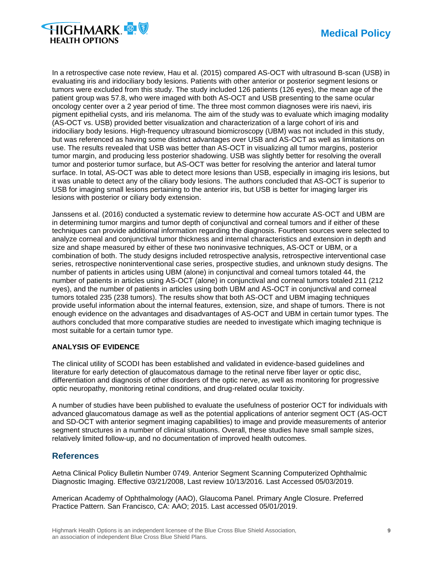



In a retrospective case note review, Hau et al. (2015) compared AS-OCT with ultrasound B-scan (USB) in evaluating iris and iridociliary body lesions. Patients with other anterior or posterior segment lesions or tumors were excluded from this study. The study included 126 patients (126 eyes), the mean age of the patient group was 57.8, who were imaged with both AS-OCT and USB presenting to the same ocular oncology center over a 2 year period of time. The three most common diagnoses were iris naevi, iris pigment epithelial cysts, and iris melanoma. The aim of the study was to evaluate which imaging modality (AS-OCT vs. USB) provided better visualization and characterization of a large cohort of iris and iridociliary body lesions. High-frequency ultrasound biomicroscopy (UBM) was not included in this study, but was referenced as having some distinct advantages over USB and AS-OCT as well as limitations on use. The results revealed that USB was better than AS-OCT in visualizing all tumor margins, posterior tumor margin, and producing less posterior shadowing. USB was slightly better for resolving the overall tumor and posterior tumor surface, but AS-OCT was better for resolving the anterior and lateral tumor surface. In total, AS-OCT was able to detect more lesions than USB, especially in imaging iris lesions, but it was unable to detect any of the ciliary body lesions. The authors concluded that AS-OCT is superior to USB for imaging small lesions pertaining to the anterior iris, but USB is better for imaging larger iris lesions with posterior or ciliary body extension.

Janssens et al. (2016) conducted a systematic review to determine how accurate AS-OCT and UBM are in determining tumor margins and tumor depth of conjunctival and corneal tumors and if either of these techniques can provide additional information regarding the diagnosis. Fourteen sources were selected to analyze corneal and conjunctival tumor thickness and internal characteristics and extension in depth and size and shape measured by either of these two noninvasive techniques, AS-OCT or UBM, or a combination of both. The study designs included retrospective analysis, retrospective interventional case series, retrospective noninterventional case series, prospective studies, and unknown study designs. The number of patients in articles using UBM (alone) in conjunctival and corneal tumors totaled 44, the number of patients in articles using AS-OCT (alone) in conjunctival and corneal tumors totaled 211 (212 eyes), and the number of patients in articles using both UBM and AS-OCT in conjunctival and corneal tumors totaled 235 (238 tumors). The results show that both AS-OCT and UBM imaging techniques provide useful information about the internal features, extension, size, and shape of tumors. There is not enough evidence on the advantages and disadvantages of AS-OCT and UBM in certain tumor types. The authors concluded that more comparative studies are needed to investigate which imaging technique is most suitable for a certain tumor type.

#### **ANALYSIS OF EVIDENCE**

The clinical utility of SCODI has been established and validated in evidence-based guidelines and literature for early detection of glaucomatous damage to the retinal nerve fiber layer or optic disc, differentiation and diagnosis of other disorders of the optic nerve, as well as monitoring for progressive optic neuropathy, monitoring retinal conditions, and drug-related ocular toxicity.

A number of studies have been published to evaluate the usefulness of posterior OCT for individuals with advanced glaucomatous damage as well as the potential applications of anterior segment OCT (AS-OCT and SD-OCT with anterior segment imaging capabilities) to image and provide measurements of anterior segment structures in a number of clinical situations. Overall, these studies have small sample sizes, relatively limited follow-up, and no documentation of improved health outcomes.

## **References**

Aetna Clinical Policy Bulletin Number 0749. Anterior Segment Scanning Computerized Ophthalmic Diagnostic Imaging. Effective 03/21/2008, Last review 10/13/2016. Last Accessed 05/03/2019.

American Academy of Ophthalmology (AAO), Glaucoma Panel. Primary Angle Closure. Preferred Practice Pattern. San Francisco, CA: AAO; 2015. Last accessed 05/01/2019.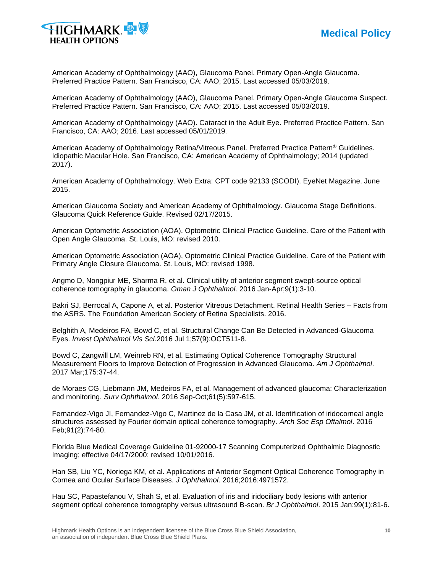



American Academy of Ophthalmology (AAO), Glaucoma Panel. Primary Open-Angle Glaucoma. Preferred Practice Pattern. San Francisco, CA: AAO; 2015. Last accessed 05/03/2019.

American Academy of Ophthalmology (AAO), Glaucoma Panel. Primary Open-Angle Glaucoma Suspect. Preferred Practice Pattern. San Francisco, CA: AAO; 2015. Last accessed 05/03/2019.

American Academy of Ophthalmology (AAO). Cataract in the Adult Eye. Preferred Practice Pattern. San Francisco, CA: AAO; 2016. Last accessed 05/01/2019.

American Academy of Ophthalmology Retina/Vitreous Panel. Preferred Practice Pattern® Guidelines. Idiopathic Macular Hole. San Francisco, CA: American Academy of Ophthalmology; 2014 (updated 2017).

American Academy of Ophthalmology. Web Extra: CPT code 92133 (SCODI). EyeNet Magazine. June 2015.

American Glaucoma Society and American Academy of Ophthalmology. Glaucoma Stage Definitions. Glaucoma Quick Reference Guide. Revised 02/17/2015.

American Optometric Association (AOA), Optometric Clinical Practice Guideline. Care of the Patient with Open Angle Glaucoma. St. Louis, MO: revised 2010.

American Optometric Association (AOA), Optometric Clinical Practice Guideline. Care of the Patient with Primary Angle Closure Glaucoma. St. Louis, MO: revised 1998.

Angmo D, Nongpiur ME, Sharma R, et al. Clinical utility of anterior segment swept-source optical coherence tomography in glaucoma. *Oman J Ophthalmol*. 2016 Jan-Apr;9(1):3-10.

Bakri SJ, Berrocal A, Capone A, et al. Posterior Vitreous Detachment. Retinal Health Series – Facts from the ASRS. The Foundation American Society of Retina Specialists. 2016.

Belghith A, Medeiros FA, Bowd C, et al. Structural Change Can Be Detected in Advanced-Glaucoma Eyes. *Invest Ophthalmol Vis Sci*.2016 Jul 1;57(9):OCT511-8.

Bowd C, Zangwill LM, Weinreb RN, et al. Estimating Optical Coherence Tomography Structural Measurement Floors to Improve Detection of Progression in Advanced Glaucoma. *Am J Ophthalmol*. 2017 Mar;175:37-44.

de Moraes CG, Liebmann JM, Medeiros FA, et al. Management of advanced glaucoma: Characterization and monitoring. *Surv Ophthalmol*. 2016 Sep-Oct;61(5):597-615.

Fernandez-Vigo JI, Fernandez-Vigo C, Martinez de la Casa JM, et al. Identification of iridocorneal angle structures assessed by Fourier domain optical coherence tomography. *Arch Soc Esp Oftalmol*. 2016 Feb;91(2):74-80.

Florida Blue Medical Coverage Guideline 01-92000-17 Scanning Computerized Ophthalmic Diagnostic Imaging; effective 04/17/2000; revised 10/01/2016.

Han SB, Liu YC, Noriega KM, et al. Applications of Anterior Segment Optical Coherence Tomography in Cornea and Ocular Surface Diseases. *J Ophthalmol*. 2016;2016:4971572.

Hau SC, Papastefanou V, Shah S, et al. Evaluation of iris and iridociliary body lesions with anterior segment optical coherence tomography versus ultrasound B-scan. *Br J Ophthalmol*. 2015 Jan;99(1):81-6.